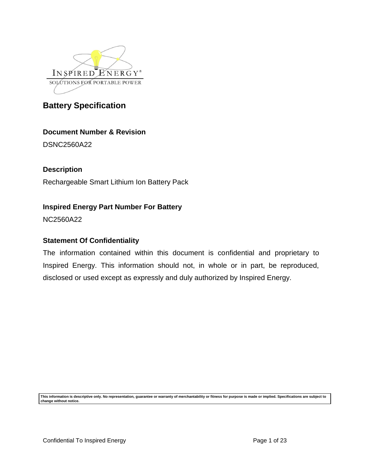

# **Document Number & Revision**

DSNC2560A22

**Description**

Rechargeable Smart Lithium Ion Battery Pack

# **Inspired Energy Part Number For Battery**

NC2560A22

# **Statement Of Confidentiality**

The information contained within this document is confidential and proprietary to Inspired Energy. This information should not, in whole or in part, be reproduced, disclosed or used except as expressly and duly authorized by Inspired Energy.

**This information is descriptive only. No representation, guarantee or warranty of merchantability or fitness for purpose is made or implied. Specifications are subject to change without notice.**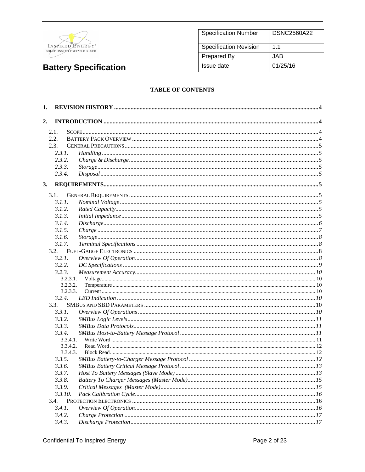

| <b>Specification Number</b>   | <b>DSNC2560A22</b> |
|-------------------------------|--------------------|
| <b>Specification Revision</b> | 11                 |
| <b>Prepared By</b>            | JAB.               |
| Issue date                    | 01/25/16           |

### **TABLE OF CONTENTS**

| 1. |                |                 |  |
|----|----------------|-----------------|--|
| 2. |                |                 |  |
|    | 2.1.           |                 |  |
|    | 2.2.           |                 |  |
|    | 2.3.           |                 |  |
|    | 2.3.1.         |                 |  |
|    | 2.3.2.         |                 |  |
|    | 2.3.3.         |                 |  |
|    | 2.3.4.         |                 |  |
| 3. |                |                 |  |
|    | 3.1.           |                 |  |
|    | 3.1.1.         |                 |  |
|    | 3.1.2.         |                 |  |
|    | 3.1.3.         |                 |  |
|    | 3.1.4.         |                 |  |
|    | 3.1.5.         | $Charge \dots$  |  |
|    | 3.1.6.         | $Storage  \, 8$ |  |
|    | 3.1.7.         |                 |  |
|    | 3.2.           |                 |  |
|    | 3.2.1.         |                 |  |
|    | 3.2.2.         |                 |  |
|    | 3.2.3.         |                 |  |
|    | 3.2.3.1.       |                 |  |
|    | 3.2.3.2.       |                 |  |
|    | 3.2.3.3.       |                 |  |
|    | 3.2.4.         |                 |  |
|    | 3.3.<br>3.3.1. |                 |  |
|    | 3.3.2.         |                 |  |
|    | 3.3.3.         |                 |  |
|    | 3.3.4.         |                 |  |
|    | 3.3.4.1.       |                 |  |
|    | 3.3.4.2.       |                 |  |
|    | 3.3.4.3.       |                 |  |
|    | 3.3.5.         |                 |  |
|    | 3.3.6.         |                 |  |
|    | 3.3.7.         |                 |  |
|    | 3.3.8.         |                 |  |
|    | 3.3.9.         |                 |  |
|    | 3.3.10.        |                 |  |
|    | 3.4.           |                 |  |
|    | 3.4.1.         |                 |  |
|    | 3.4.2.         |                 |  |
|    | 3.4.3.         |                 |  |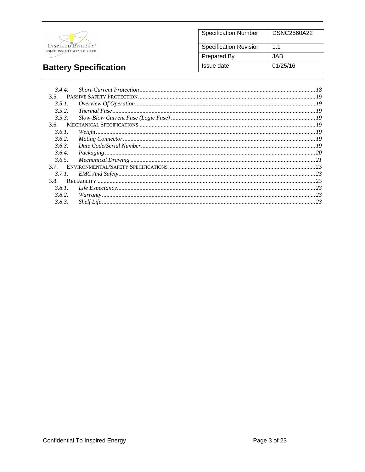

#### **Specification Number DSNC2560A22** Specification Revision  $1.1$ **Prepared By JAB Issue date**  $01/25/16$

# **Battery Specification**

|        | 3.4.4. |                                                                                                                                                                                                                                                                       |  |
|--------|--------|-----------------------------------------------------------------------------------------------------------------------------------------------------------------------------------------------------------------------------------------------------------------------|--|
| 3.5.   |        |                                                                                                                                                                                                                                                                       |  |
|        | 3.5.1. |                                                                                                                                                                                                                                                                       |  |
| 3.5.2. |        |                                                                                                                                                                                                                                                                       |  |
| 3.5.3. |        |                                                                                                                                                                                                                                                                       |  |
|        |        |                                                                                                                                                                                                                                                                       |  |
| 3.6.1. |        |                                                                                                                                                                                                                                                                       |  |
| 3.6.2. |        |                                                                                                                                                                                                                                                                       |  |
| 3.6.3. |        |                                                                                                                                                                                                                                                                       |  |
|        | 3.6.4. |                                                                                                                                                                                                                                                                       |  |
|        | 3.6.5. |                                                                                                                                                                                                                                                                       |  |
|        |        |                                                                                                                                                                                                                                                                       |  |
|        | 3.7.1. |                                                                                                                                                                                                                                                                       |  |
|        |        |                                                                                                                                                                                                                                                                       |  |
|        | 3.8.1. | $\emph{Life Expectancy} \label{prop:1} \emph{Life Expectancy} \normalsize \normalsize \ldots \normalsize \normalsize \normalsize \textcolor{red}{\textbf{Life Expectancy}} \normalsize \textcolor{red}{\textbf{Expectancy}} \normalsize \textcolor{red}{\textbf{23}}$ |  |
| 3.8.2. |        |                                                                                                                                                                                                                                                                       |  |
| 3.8.3. |        |                                                                                                                                                                                                                                                                       |  |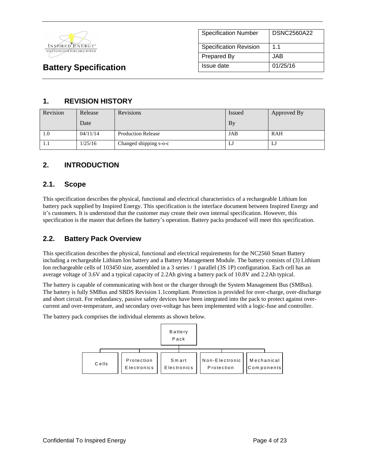

# **1. REVISION HISTORY**

| Revision | Release  | <b>Revisions</b>          | Issued    | Approved By |
|----------|----------|---------------------------|-----------|-------------|
|          | Date -   |                           | <b>By</b> |             |
| 1.0      | 04/11/14 | <b>Production Release</b> | JAB       | <b>RAH</b>  |
| .        | 1/25/16  | Changed shipping s-o-c    | LJ        | IJ          |

# **2. INTRODUCTION**

### **2.1. Scope**

This specification describes the physical, functional and electrical characteristics of a rechargeable Lithium Ion battery pack supplied by Inspired Energy. This specification is the interface document between Inspired Energy and it's customers. It is understood that the customer may create their own internal specification. However, this specification is the master that defines the battery's operation. Battery packs produced will meet this specification.

# **2.2. Battery Pack Overview**

This specification describes the physical, functional and electrical requirements for the NC2560 Smart Battery including a rechargeable Lithium Ion battery and a Battery Management Module. The battery consists of (3) Lithium Ion rechargeable cells of 103450 size, assembled in a 3 series / 1 parallel (3S 1P) configuration. Each cell has an average voltage of 3.6V and a typical capacity of 2.2Ah giving a battery pack of 10.8V and 2.2Ah typical.

The battery is capable of communicating with host or the charger through the System Management Bus (SMBus). The battery is fully SMBus and SBDS Revision 1.1compliant. Protection is provided for over-charge, over-discharge and short circuit. For redundancy, passive safety devices have been integrated into the pack to protect against overcurrent and over-temperature, and secondary over-voltage has been implemented with a logic-fuse and controller.

The battery pack comprises the individual elements as shown below.

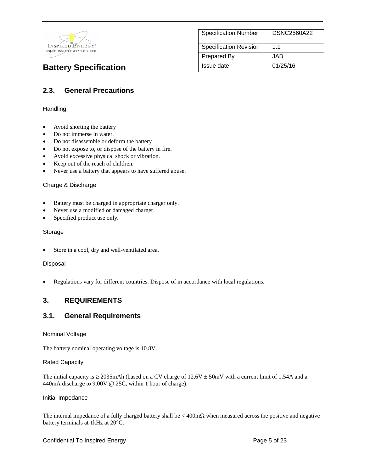

| <b>Specification Number</b>   | <b>DSNC2560A22</b> |
|-------------------------------|--------------------|
| <b>Specification Revision</b> | 1 <sub>1</sub>     |
| <b>Prepared By</b>            | JAB                |
| Issue date                    | 01/25/16           |

# **2.3. General Precautions**

#### **Handling**

- Avoid shorting the battery
- Do not immerse in water.
- Do not disassemble or deform the battery
- Do not expose to, or dispose of the battery in fire.
- Avoid excessive physical shock or vibration.
- Keep out of the reach of children.
- Never use a battery that appears to have suffered abuse.

#### Charge & Discharge

- Battery must be charged in appropriate charger only.
- Never use a modified or damaged charger.
- Specified product use only.

#### Storage

Store in a cool, dry and well-ventilated area.

#### Disposal

Regulations vary for different countries. Dispose of in accordance with local regulations.

### **3. REQUIREMENTS**

### **3.1. General Requirements**

#### Nominal Voltage

The battery nominal operating voltage is 10.8V.

#### Rated Capacity

The initial capacity is  $\geq$  2035mAh (based on a CV charge of 12.6V  $\pm$  50mV with a current limit of 1.54A and a 440mA discharge to 9.00V @ 25C, within 1 hour of charge).

#### Initial Impedance

The internal impedance of a fully charged battery shall be  $\lt$  400m $\Omega$  when measured across the positive and negative battery terminals at 1kHz at 20°C.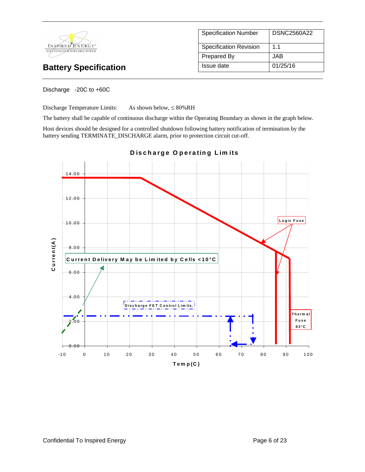

| <b>Specification Number</b>   | <b>DSNC2560A22</b> |
|-------------------------------|--------------------|
| <b>Specification Revision</b> | 1.1                |
| <b>Prepared By</b>            | JAB.               |
| Issue date                    | 01/25/16           |

Discharge -20C to +60C

Discharge Temperature Limits: As shown below,  $\leq 80\%RH$ 

The battery shall be capable of continuous discharge within the Operating Boundary as shown in the graph below.

Host devices should be designed for a controlled shutdown following battery notification of termination by the battery sending TERMINATE\_DISCHARGE alarm, prior to protection circuit cut-off.



**D is c h a rg e O p e ra tin g L im its**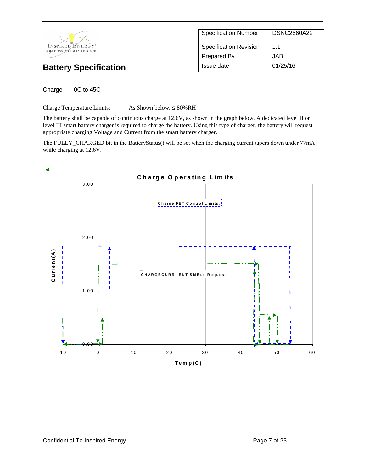

| <b>Specification Number</b>   | DSNC2560A22 |
|-------------------------------|-------------|
| <b>Specification Revision</b> | 1.1         |
| <b>Prepared By</b>            | JAB.        |
| Issue date                    | 01/25/16    |

Charge 0C to 45C

Charge Temperature Limits:  $As Shown below,  $\leq 80\%RH$$ 

The battery shall be capable of continuous charge at 12.6V, as shown in the graph below. A dedicated level II or level III smart battery charger is required to charge the battery. Using this type of charger, the battery will request appropriate charging Voltage and Current from the smart battery charger.

The FULLY\_CHARGED bit in the BatteryStatus() will be set when the charging current tapers down under 77mA while charging at 12.6V.

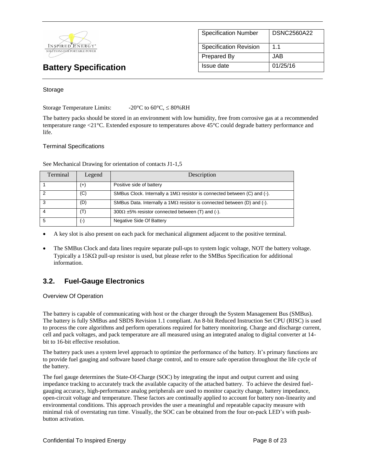

| <b>Specification Number</b>   | <b>DSNC2560A22</b> |
|-------------------------------|--------------------|
| <b>Specification Revision</b> | $1\;1$             |
| <b>Prepared By</b>            | JAB.               |
| Issue date                    | 01/25/16           |

#### Storage

Storage Temperature Limits:  $-20^{\circ}$ C to 60°C,  $\leq 80\%$ RH

The battery packs should be stored in an environment with low humidity, free from corrosive gas at a recommended temperature range <21°C. Extended exposure to temperatures above 45°C could degrade battery performance and life.

#### Terminal Specifications

See Mechanical Drawing for orientation of contacts J1-1,5

| Terminal | Legend    | Description                                                                     |
|----------|-----------|---------------------------------------------------------------------------------|
|          | $^{(+)}$  | Positive side of battery                                                        |
|          | (C)       | SMBus Clock. Internally a $1M\Omega$ resistor is connected between (C) and (-). |
| 3        | (D)       | SMBus Data. Internally a 1M $\Omega$ resistor is connected between (D) and (-). |
|          | (T)       | $300\Omega \pm 5\%$ resistor connected between (T) and (-).                     |
|          | $(\cdot)$ | Negative Side Of Battery                                                        |

A key slot is also present on each pack for mechanical alignment adjacent to the positive terminal.

 The SMBus Clock and data lines require separate pull-ups to system logic voltage, NOT the battery voltage. Typically a 15K $\Omega$  pull-up resistor is used, but please refer to the SMBus Specification for additional information.

# **3.2. Fuel-Gauge Electronics**

Overview Of Operation

The battery is capable of communicating with host or the charger through the System Management Bus (SMBus). The battery is fully SMBus and SBDS Revision 1.1 compliant. An 8-bit Reduced Instruction Set CPU (RISC) is used to process the core algorithms and perform operations required for battery monitoring. Charge and discharge current, cell and pack voltages, and pack temperature are all measured using an integrated analog to digital converter at 14 bit to 16-bit effective resolution.

The battery pack uses a system level approach to optimize the performance of the battery. It's primary functions are to provide fuel gauging and software based charge control, and to ensure safe operation throughout the life cycle of the battery.

The fuel gauge determines the State-Of-Charge (SOC) by integrating the input and output current and using impedance tracking to accurately track the available capacity of the attached battery. To achieve the desired fuelgauging accuracy, high-performance analog peripherals are used to monitor capacity change, battery impedance, open-circuit voltage and temperature. These factors are continually applied to account for battery non-linearity and environmental conditions. This approach provides the user a meaningful and repeatable capacity measure with minimal risk of overstating run time. Visually, the SOC can be obtained from the four on-pack LED's with pushbutton activation.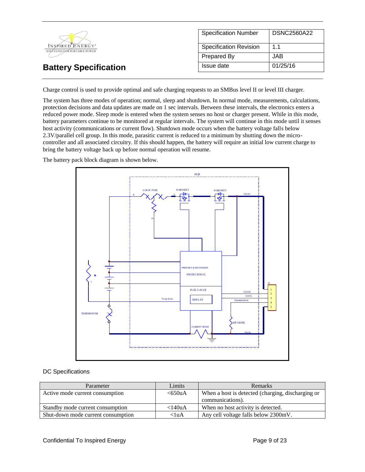|                                                              | <b>Specification Number</b>   | DSNC2560A22 |
|--------------------------------------------------------------|-------------------------------|-------------|
| INSPIRED ENERGY <sup>*</sup><br>SOLÚTIONS FOR PORTABLE POWER | <b>Specification Revision</b> | 1.1         |
|                                                              | Prepared By                   | JAB         |
| <b>Battery Specification</b>                                 | Issue date                    | 01/25/16    |

Charge control is used to provide optimal and safe charging requests to an SMBus level II or level III charger.

The system has three modes of operation; normal, sleep and shutdown. In normal mode, measurements, calculations, protection decisions and data updates are made on 1 sec intervals. Between these intervals, the electronics enters a reduced power mode. Sleep mode is entered when the system senses no host or charger present. While in this mode, battery parameters continue to be monitored at regular intervals. The system will continue in this mode until it senses host activity (communications or current flow). Shutdown mode occurs when the battery voltage falls below 2.3V/parallel cell group. In this mode, parasitic current is reduced to a minimum by shutting down the microcontroller and all associated circuitry. If this should happen, the battery will require an initial low current charge to bring the battery voltage back up before normal operation will resume.

The battery pack block diagram is shown below.



#### DC Specifications

| Parameter                          | Limits    | Remarks                                           |
|------------------------------------|-----------|---------------------------------------------------|
| Active mode current consumption    | <650uA    | When a host is detected (charging, discharging or |
|                                    |           | communications).                                  |
| Standby mode current consumption   | $<$ 140uA | When no host activity is detected.                |
| Shut-down mode current consumption | $<$ luA   | Any cell voltage falls below 2300mV.              |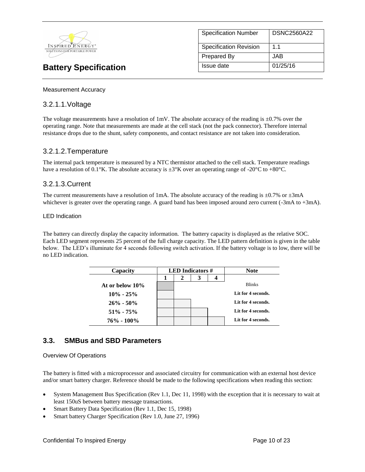

| <b>Specification Number</b>   | <b>DSNC2560A22</b> |
|-------------------------------|--------------------|
| <b>Specification Revision</b> | $1\;1$             |
| Prepared By                   | JAB.               |
| Issue date                    | 01/25/16           |

Measurement Accuracy

### 3.2.1.1.Voltage

The voltage measurements have a resolution of 1mV. The absolute accuracy of the reading is  $\pm 0.7\%$  over the operating range. Note that measurements are made at the cell stack (not the pack connector). Therefore internal resistance drops due to the shunt, safety components, and contact resistance are not taken into consideration.

### 3.2.1.2.Temperature

The internal pack temperature is measured by a NTC thermistor attached to the cell stack. Temperature readings have a resolution of 0.1°K. The absolute accuracy is  $\pm 3^{\circ}$ K over an operating range of -20°C to +80°C.

### 3.2.1.3.Current

The current measurements have a resolution of 1mA. The absolute accuracy of the reading is  $\pm 0.7\%$  or  $\pm 3$ mA whichever is greater over the operating range. A guard band has been imposed around zero current (-3mA to +3mA).

#### LED Indication

The battery can directly display the capacity information. The battery capacity is displayed as the relative SOC. Each LED segment represents 25 percent of the full charge capacity. The LED pattern definition is given in the table below. The LED's illuminate for 4 seconds following switch activation. If the battery voltage is to low, there will be no LED indication.

| Capacity        | <b>LED</b> Indicators $#$ |  | <b>Note</b> |                    |
|-----------------|---------------------------|--|-------------|--------------------|
|                 | 2                         |  |             |                    |
| At or below 10% |                           |  |             | <b>Blinks</b>      |
| $10\% - 25\%$   |                           |  |             | Lit for 4 seconds. |
| $26\% - 50\%$   |                           |  |             | Lit for 4 seconds. |
| $51\% - 75\%$   |                           |  |             | Lit for 4 seconds. |
| $76\% - 100\%$  |                           |  |             | Lit for 4 seconds. |

### **3.3. SMBus and SBD Parameters**

#### Overview Of Operations

The battery is fitted with a microprocessor and associated circuitry for communication with an external host device and/or smart battery charger. Reference should be made to the following specifications when reading this section:

- System Management Bus Specification (Rev 1.1, Dec 11, 1998) with the exception that it is necessary to wait at least 150uS between battery message transactions.
- Smart Battery Data Specification (Rev 1.1, Dec 15, 1998)
- Smart battery Charger Specification (Rev 1.0, June 27, 1996)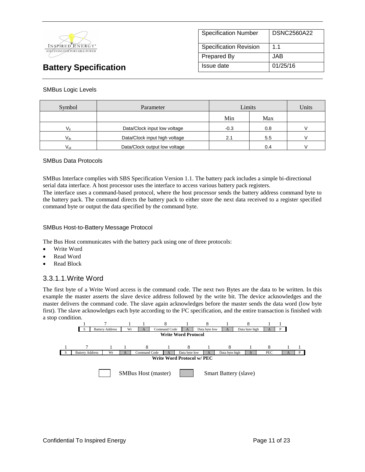

| <b>Specification Number</b>   | <b>DSNC2560A22</b> |
|-------------------------------|--------------------|
| <b>Specification Revision</b> | 11                 |
| <b>Prepared By</b>            | JAB.               |
| Issue date                    | 01/25/16           |

#### SMBus Logic Levels

| Symbol       | Parameter                     | Limits |     | Units |
|--------------|-------------------------------|--------|-----|-------|
|              |                               | Min    | Max |       |
|              | Data/Clock input low voltage  | $-0.3$ | 0.8 |       |
| $V_{ih}$     | Data/Clock input high voltage | 2.1    | 5.5 |       |
| $V_{\alpha}$ | Data/Clock output low voltage |        | 0.4 |       |

#### SMBus Data Protocols

SMBus Interface complies with SBS Specification Version 1.1. The battery pack includes a simple bi-directional serial data interface. A host processor uses the interface to access various battery pack registers.

The interface uses a command-based protocol, where the host processor sends the battery address command byte to the battery pack. The command directs the battery pack to either store the next data received to a register specified command byte or output the data specified by the command byte.

#### SMBus Host-to-Battery Message Protocol

The Bus Host communicates with the battery pack using one of three protocols:

- Write Word
- Read Word
- Read Block

### 3.3.1.1.Write Word

The first byte of a Write Word access is the command code. The next two Bytes are the data to be written. In this example the master asserts the slave device address followed by the write bit. The device acknowledges and the master delivers the command code. The slave again acknowledges before the master sends the data word (low byte first). The slave acknowledges each byte according to the I²C specification, and the entire transaction is finished with a stop condition.

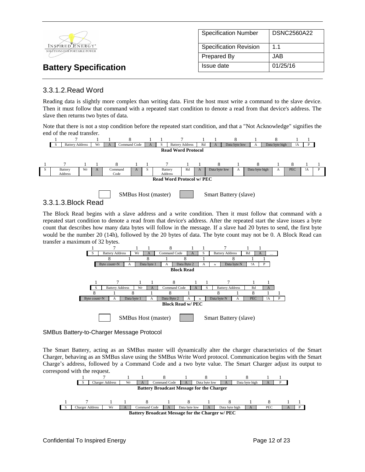

## 3.3.1.2.Read Word

Reading data is slightly more complex than writing data. First the host must write a command to the slave device. Then it must follow that command with a repeated start condition to denote a read from that device's address. The slave then returns two bytes of data.

Note that there is not a stop condition before the repeated start condition, and that a "Not Acknowledge" signifies the end of the read transfer.





### 3.3.1.3.Block Read

The Block Read begins with a slave address and a write condition. Then it must follow that command with a repeated start condition to denote a read from that device's address. After the repeated start the slave issues a byte count that describes how many data bytes will follow in the message. If a slave had 20 bytes to send, the first byte would be the number 20 (14h), followed by the 20 bytes of data. The byte count may not be 0. A Block Read can transfer a maximum of 32 bytes.



#### SMBus Battery-to-Charger Message Protocol

The Smart Battery, acting as an SMBus master will dynamically alter the charger characteristics of the Smart Charger, behaving as an SMBus slave using the SMBus Write Word protocol. Communication begins with the Smart Charge's address, followed by a Command Code and a two byte value. The Smart Charger adjust its output to correspond with the request.

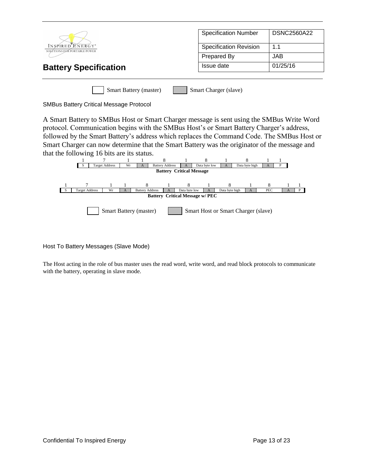|                                                  | <b>Specification Number</b>   | <b>DSNC2560A22</b> |
|--------------------------------------------------|-------------------------------|--------------------|
| INSPIRED ENERGY*<br>SOLÚTIONS FOR PORTABLE POWER | <b>Specification Revision</b> | 1.1                |
|                                                  | Prepared By                   | <b>JAB</b>         |
| <b>Battery Specification</b>                     | Issue date                    | 01/25/16           |
|                                                  |                               |                    |
| <b>Smart Battery (master)</b>                    | Smart Charger (slave)         |                    |

| <b>SMBus Battery Critical Message Protocol</b> |  |
|------------------------------------------------|--|
|------------------------------------------------|--|

A Smart Battery to SMBus Host or Smart Charger message is sent using the SMBus Write Word protocol. Communication begins with the SMBus Host's or Smart Battery Charger's address, followed by the Smart Battery's address which replaces the Command Code. The SMBus Host or Smart Charger can now determine that the Smart Battery was the originator of the message and that the following 16 bits are its status.



Host To Battery Messages (Slave Mode)

The Host acting in the role of bus master uses the read word, write word, and read block protocols to communicate with the battery, operating in slave mode.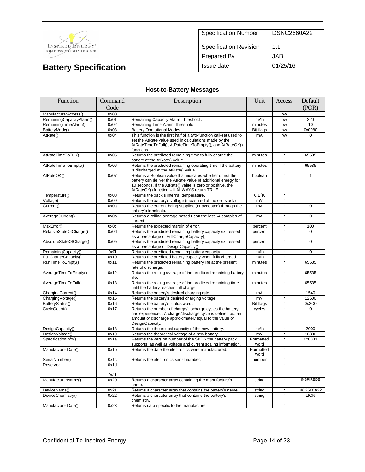

| <b>Specification Number</b>   | <b>DSNC2560A22</b> |
|-------------------------------|--------------------|
| <b>Specification Revision</b> | 1 <sub>1</sub>     |
| <b>Prepared By</b>            | JAB.               |
| Issue date                    | 01/25/16           |

## **Host-to-Battery Messages**

| Function                 | Command | Description                                                                                                                                                                                                                              | Unit              | Access       | Default          |
|--------------------------|---------|------------------------------------------------------------------------------------------------------------------------------------------------------------------------------------------------------------------------------------------|-------------------|--------------|------------------|
|                          | Code    |                                                                                                                                                                                                                                          |                   |              | (POR)            |
| ManufacturerAccess()     | 0x00    |                                                                                                                                                                                                                                          |                   | r/w          |                  |
| RemainingCapacityAlarm() | 0x01    | Remaining Capacity Alarm Threshold.                                                                                                                                                                                                      | mAh               | r/w          | 220              |
| RemainingTimeAlarm()     | 0x02    | Remaining Time Alarm Threshold.                                                                                                                                                                                                          | minutes           | r/w          | 10               |
| BatteryMode()            | 0x03    | <b>Battery Operational Modes.</b>                                                                                                                                                                                                        | <b>Bit flags</b>  | r/w          | 0x0080           |
| AtRate()                 | 0x04    | This function is the first half of a two-function call-set used to<br>set the AtRate value used in calculations made by the<br>AtRateTimeToFull(), AtRateTimeToEmpty(), and AtRateOK()<br>functions.                                     | mA                | r/w          | $\Omega$         |
| AtRateTimeToFull()       | 0x05    | Returns the predicted remaining time to fully charge the<br>battery at the AtRate() value.                                                                                                                                               | minutes           | $\mathbf{r}$ | 65535            |
| AtRateTimeToEmpty()      | 0x06    | Returns the predicted remaining operating time if the battery<br>is discharged at the AtRate() value.                                                                                                                                    | minutes           | r.           | 65535            |
| AtRateOK()               | 0x07    | Returns a Boolean value that indicates whether or not the<br>battery can deliver the AtRate value of additional energy for<br>10 seconds. If the AtRate() value is zero or positive, the<br>AtRateOK() function will ALWAYS return TRUE. | boolean           | $\mathbf{r}$ | $\mathbf{1}$     |
| Temperature()            | 0x08    | Returns the pack's internal temperature.                                                                                                                                                                                                 | $0.1^{\circ}$ K   | $\mathsf{r}$ |                  |
| Voltage()                | 0x09    | Returns the battery's voltage (measured at the cell stack)                                                                                                                                                                               | mV                | r            |                  |
| Current()                | 0x0a    | Returns the current being supplied (or accepted) through the<br>battery's terminals.                                                                                                                                                     | mA                | $\mathbf r$  | $\overline{0}$   |
| AverageCurrent()         | 0x0b    | Returns a rolling average based upon the last 64 samples of<br>current.                                                                                                                                                                  | mA                | $\mathbf{r}$ | $\Omega$         |
| MaxError()               | 0x0c    | Returns the expected margin of error.                                                                                                                                                                                                    | percent           | $\mathbf{r}$ | 100              |
| RelativeStateOfCharge()  | 0x0d    | Returns the predicted remaining battery capacity expressed<br>as a percentage of FullChargeCapacity().                                                                                                                                   | percent           | $\mathbf{r}$ | 0                |
| AbsoluteStateOfCharge()  | 0x0e    | Returns the predicted remaining battery capacity expressed<br>as a percentage of DesignCapacity().                                                                                                                                       | percent           | $\mathbf{r}$ | 0                |
| RemainingCapacity()      | 0x0f    | Returns the predicted remaining battery capacity.                                                                                                                                                                                        | mAh               | r.           | $\Omega$         |
| FullChargeCapacity()     | 0x10    | Returns the predicted battery capacity when fully charged.                                                                                                                                                                               | mAh               | $\mathbf{r}$ |                  |
| RunTimeToEmpty()         | 0x11    | Returns the predicted remaining battery life at the present<br>rate of discharge.                                                                                                                                                        | minutes           | $\mathbf{r}$ | 65535            |
| AverageTimeToEmpty()     | 0x12    | Returns the rolling average of the predicted remaining battery<br>life.                                                                                                                                                                  | minutes           | $\mathbf{r}$ | 65535            |
| AverageTimeToFull()      | 0x13    | Returns the rolling average of the predicted remaining time<br>until the battery reaches full charge.                                                                                                                                    | minutes           | $\mathbf{r}$ | 65535            |
| ChargingCurrent()        | 0x14    | Returns the battery's desired charging rate.                                                                                                                                                                                             | mA                | $\mathbf{r}$ | 1540             |
| ChargingVoltage()        | 0x15    | Returns the battery's desired charging voltage.                                                                                                                                                                                          | mV                | $\mathsf{r}$ | 12600            |
| BatteryStatus()          | 0x16    | Returns the battery's status word.                                                                                                                                                                                                       | <b>Bit flags</b>  | $\mathbf{r}$ | 0x2C0            |
| CycleCount()             | 0x17    | Returns the number of charge/discharge cycles the battery<br>has experienced. A charge/discharge cycle is defined as: an<br>amount of discharge approximately equal to the value of<br>DesignCapacity.                                   | cycles            | $\mathbf{r}$ | $\Omega$         |
| DesignCapacity()         | 0x18    | Returns the theoretical capacity of the new battery.                                                                                                                                                                                     | mAh               | $\mathsf{r}$ | 2000             |
| DesignVoltage()          | 0x19    | Returns the theoretical voltage of a new battery.                                                                                                                                                                                        | mV                | $\mathbf{r}$ | 10800            |
| SpecificationInfo()      | 0x1a    | Returns the version number of the SBDS the battery pack<br>supports, as well as voltage and current scaling information.                                                                                                                 | Formatted<br>word | r.           | 0x0031           |
| ManufacturerDate()       | 0x1b    | Returns the date the electronics were manufactured.                                                                                                                                                                                      | Formatted<br>word | $\mathbf{r}$ |                  |
| SerialNumber()           | 0x1c    | Returns the electronics serial number.                                                                                                                                                                                                   | number            | $\mathbf{r}$ |                  |
| Reserved                 | 0x1d    |                                                                                                                                                                                                                                          |                   | r.           |                  |
|                          | 0x1f    |                                                                                                                                                                                                                                          |                   |              |                  |
| ManufacturerName()       | 0x20    | Returns a character array containing the manufacture's<br>name.                                                                                                                                                                          | string            | $\mathsf{r}$ | <b>INSPIREDE</b> |
| DeviceName()             | 0x21    | Returns a character array that contains the battery's name.                                                                                                                                                                              | string            | $\mathbf{r}$ | NC2560A22        |
| DeviceChemistry()        | 0x22    | Returns a character array that contains the battery's<br>chemistry.                                                                                                                                                                      | string            | $\mathbf{r}$ | <b>LION</b>      |
| ManufacturerData()       | 0x23    | Returns data specific to the manufacture.                                                                                                                                                                                                |                   | r            |                  |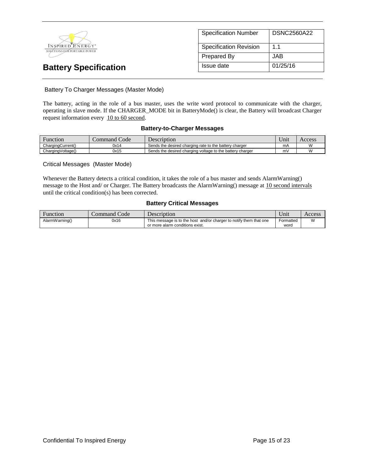

| <b>Specification Number</b>   | <b>DSNC2560A22</b> |
|-------------------------------|--------------------|
| <b>Specification Revision</b> | 11                 |
| Prepared By                   | JAB.               |
| Issue date                    | 01/25/16           |

### Battery To Charger Messages (Master Mode)

The battery, acting in the role of a bus master, uses the write word protocol to communicate with the charger, operating in slave mode. If the CHARGER\_MODE bit in BatteryMode() is clear, the Battery will broadcast Charger request information every 10 to 60 second.

### **Battery-to-Charger Messages**

| Function          | Code<br>command <i>'</i> | Description                                               | $\mathbf{v}$<br>Unit | Access |
|-------------------|--------------------------|-----------------------------------------------------------|----------------------|--------|
| ChargingCurrent() | 0x14                     | Sends the desired charging rate to the battery charger    | mA                   |        |
| ChargingVoltage() | 0x15                     | Sends the desired charging voltage to the battery charger | m۷                   |        |

### Critical Messages (Master Mode)

Whenever the Battery detects a critical condition, it takes the role of a bus master and sends AlarmWarning() message to the Host and/ or Charger. The Battery broadcasts the AlarmWarning() message at 10 second intervals until the critical condition(s) has been corrected.

### **Battery Critical Messages**

| Function       | Command Code | Description                                                        | Unit      | Access |
|----------------|--------------|--------------------------------------------------------------------|-----------|--------|
| AlarmWarning() | 0x16         | This message is to the host and/or charger to notify them that one | Formatted | W      |
|                |              | or more alarm conditions exist.                                    | word      |        |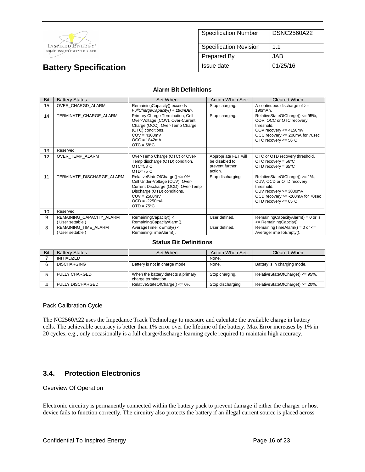

| <b>Specification Number</b>   | <b>DSNC2560A22</b> |
|-------------------------------|--------------------|
| <b>Specification Revision</b> | 11                 |
| <b>Prepared By</b>            | JAB.               |
| Issue date                    | 01/25/16           |

#### **Alarm Bit Definitions**

| Bit | <b>Battery Status</b>                     | Set When:                                                                                                                                                                                          | Action When Set:                                                     | Cleared When:                                                                                                                                                                |
|-----|-------------------------------------------|----------------------------------------------------------------------------------------------------------------------------------------------------------------------------------------------------|----------------------------------------------------------------------|------------------------------------------------------------------------------------------------------------------------------------------------------------------------------|
| 15  | OVER CHARGD ALARM                         | RemainingCapacity() exceeds<br>FullChargeCapacity() + 190mAh.                                                                                                                                      | Stop charging.                                                       | A continuous discharge of $>=$<br>190mAh.                                                                                                                                    |
| 14  | TERMINATE CHARGE ALARM                    | Primary Charge Termination, Cell<br>Over-Voltage (COV), Over-Current<br>Charge (OCC), Over-Temp Charge<br>(OTC) conditions.<br>$COV = 4300mV$<br>$OCC = 1842mA$<br>$OTC = 58°C$                    | Stop charging.                                                       | RelativeStateOfCharge() <= 95%,<br>COV, OCC or OTC recovery<br>threshold.<br>COV recovery $\leq$ 4150mV<br>OCC recovery <= 200mA for 70sec<br>OTC recovery $<= 56^{\circ}$ C |
| 13  | Reserved                                  |                                                                                                                                                                                                    |                                                                      |                                                                                                                                                                              |
| 12  | OVER TEMP ALARM                           | Over-Temp Charge (OTC) or Over-<br>Temp discharge (OTD) condition.<br>$OTC = 58°C$<br>OTD=75°C                                                                                                     | Appropriate FET will<br>be disabled to<br>prevent further<br>action. | OTC or OTD recovery threshold.<br>OTC recovery = $56^{\circ}$ C<br>OTD recovery = $65^{\circ}$ C                                                                             |
| 11  | TERMINATE DISCHARGE ALARM                 | RelativeStateOfCharge() <= 0%,<br>Cell Under-Voltage (CUV), Over-<br>Current Discharge (OCD), Over-Temp<br>Discharge (OTD) conditions.<br>$CUV = 2500mV$<br>$OCD = -2250mA$<br>$OTD = 75^{\circ}C$ | Stop discharging.                                                    | RelativeStateOfCharge() >= 1%,<br>CUV, OCD or OTD recovery<br>threshold.<br>CUV recovery >= 3000mV<br>OCD recovery >= -200mA for 70sec<br>OTD recovery $<= 65^{\circ}$ C     |
| 10  | Reserved                                  |                                                                                                                                                                                                    |                                                                      |                                                                                                                                                                              |
| 9   | REMAINING_CAPACITY_ALARM<br>User settable | RemainingCapacity() <<br>RemainingCapacityAlarm().                                                                                                                                                 | User defined.                                                        | Remaining Capacity Alarm $() = 0$ or is<br><= RemainingCapcity().                                                                                                            |
| 8   | REMAINING TIME ALARM<br>User settable)    | AverageTimeToEmpty() <<br>RemainingTimeAlarm().                                                                                                                                                    | User defined.                                                        | RemainingTimeAlarm() = $0$ or $<=$<br>AverageTimeToEmpty().                                                                                                                  |

#### **Status Bit Definitions**

| Bit | <b>Battery Status</b>   | Set When:                                                 | Action When Set:  | Cleared When:                       |
|-----|-------------------------|-----------------------------------------------------------|-------------------|-------------------------------------|
|     | <b>INITIALIZED</b>      |                                                           | None.             |                                     |
|     | <b>DISCHARGING</b>      | Battery is not in charge mode.                            | None.             | Battery is in charging mode.        |
|     | <b>FULLY CHARGED</b>    | When the battery detects a primary<br>charge termination. | Stop charging.    | RelativeStateOfCharge() $\leq$ 95%. |
|     | <b>FULLY DISCHARGED</b> | RelativeStateOfCharge() <= 0%.                            | Stop discharging. | RelativeStateOfCharge() >= 20%.     |

Pack Calibration Cycle

The NC2560A22 uses the Impedance Track Technology to measure and calculate the available charge in battery cells. The achievable accuracy is better than 1% error over the lifetime of the battery. Max Error increases by 1% in 20 cycles, e.g., only occasionally is a full charge/discharge learning cycle required to maintain high accuracy.

### **3.4. Protection Electronics**

#### Overview Of Operation

Electronic circuitry is permanently connected within the battery pack to prevent damage if either the charger or host device fails to function correctly. The circuitry also protects the battery if an illegal current source is placed across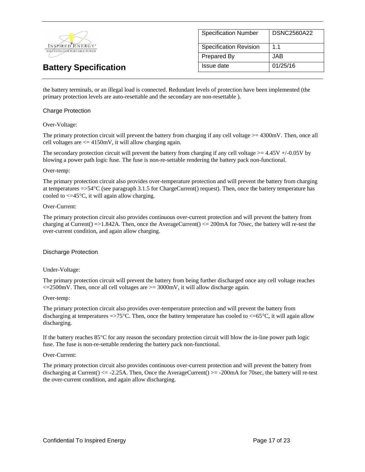

| <b>Specification Number</b>   | DSNC2560A22    |
|-------------------------------|----------------|
| <b>Specification Revision</b> | 1 <sub>1</sub> |
| <b>Prepared By</b>            | JAB.           |
| Issue date                    | 01/25/16       |

the battery terminals, or an illegal load is connected. Redundant levels of protection have been implemented (the primary protection levels are auto-resettable and the secondary are non-resettable ).

#### Charge Protection

#### Over-Voltage:

The primary protection circuit will prevent the battery from charging if any cell voltage  $>= 4300$  mV. Then, once all cell voltages are  $\leq$  4150mV, it will allow charging again.

The secondary protection circuit will prevent the battery from charging if any cell voltage  $>= 4.45V + (-0.05V)$  by blowing a power path logic fuse. The fuse is non-re-settable rendering the battery pack non-functional.

#### Over-temp:

The primary protection circuit also provides over-temperature protection and will prevent the battery from charging at temperatures  $\approx$  54°C (see paragraph 3.1.5 for ChargeCurrent() request). Then, once the battery temperature has cooled to  $\leq$  45°C, it will again allow charging.

#### Over-Current:

The primary protection circuit also provides continuous over-current protection and will prevent the battery from charging at Current()  $=$  >1.842A. Then, once the AverageCurrent()  $<=$  200mA for 70sec, the battery will re-test the over-current condition, and again allow charging.

#### Discharge Protection

#### Under-Voltage:

The primary protection circuit will prevent the battery from being further discharged once any cell voltage reaches  $\epsilon$ =2500mV. Then, once all cell voltages are  $\epsilon$ =3000mV, it will allow discharge again.

#### Over-temp:

The primary protection circuit also provides over-temperature protection and will prevent the battery from discharging at temperatures  $\approx$  75°C. Then, once the battery temperature has cooled to  $\lt$  =65°C, it will again allow discharging.

If the battery reaches  $85^{\circ}$ C for any reason the secondary protection circuit will blow the in-line power path logic fuse. The fuse is non-re-settable rendering the battery pack non-functional.

#### Over-Current:

The primary protection circuit also provides continuous over-current protection and will prevent the battery from discharging at Current()  $\leq$  -2.25A. Then, Once the AverageCurrent()  $\geq$  -200mA for 70sec, the battery will re-test the over-current condition, and again allow discharging.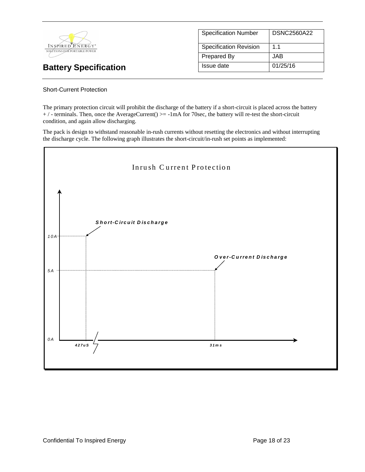

# Specification Number | DSNC2560A22 Specification Revision | 1.1 Prepared By JAB **Battery Specification Issue date** 01/25/16

### Short-Current Protection

The primary protection circuit will prohibit the discharge of the battery if a short-circuit is placed across the battery + / - terminals. Then, once the AverageCurrent() >= -1mA for 70sec, the battery will re-test the short-circuit condition, and again allow discharging.

The pack is design to withstand reasonable in-rush currents without resetting the electronics and without interrupting the discharge cycle. The following graph illustrates the short-circuit/in-rush set points as implemented:

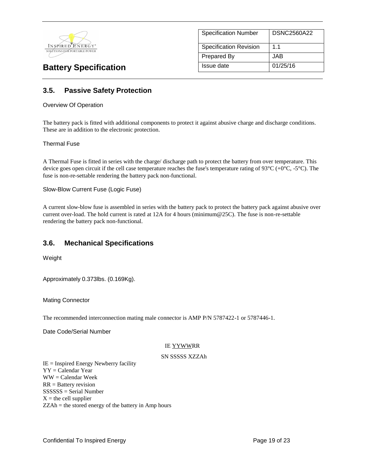

| <b>Specification Number</b>   | <b>DSNC2560A22</b> |
|-------------------------------|--------------------|
| <b>Specification Revision</b> | 11                 |
| <b>Prepared By</b>            | JAB.               |
| Issue date                    | 01/25/16           |

# **3.5. Passive Safety Protection**

#### Overview Of Operation

The battery pack is fitted with additional components to protect it against abusive charge and discharge conditions. These are in addition to the electronic protection.

#### Thermal Fuse

A Thermal Fuse is fitted in series with the charge/ discharge path to protect the battery from over temperature. This device goes open circuit if the cell case temperature reaches the fuse's temperature rating of  $93^{\circ}C (+0^{\circ}C, -5^{\circ}C)$ . The fuse is non-re-settable rendering the battery pack non-functional.

Slow-Blow Current Fuse (Logic Fuse)

A current slow-blow fuse is assembled in series with the battery pack to protect the battery pack against abusive over current over-load. The hold current is rated at 12A for 4 hours (minimum@25C). The fuse is non-re-settable rendering the battery pack non-functional.

### **3.6. Mechanical Specifications**

Weight

Approximately 0.373lbs. (0.169Kg).

Mating Connector

The recommended interconnection mating male connector is AMP P/N 5787422-1 or 5787446-1.

Date Code/Serial Number

#### IE YYWWRR

#### SN SSSSS XZZAh

IE = Inspired Energy Newberry facility YY = Calendar Year WW = Calendar Week RR = Battery revision SSSSSS = Serial Number  $X =$  the cell supplier ZZAh = the stored energy of the battery in Amp hours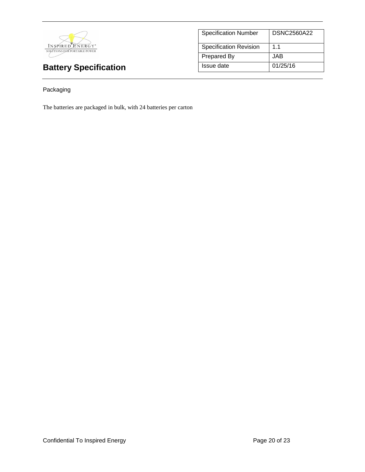

| <b>Specification Number</b>   | <b>DSNC2560A22</b> |
|-------------------------------|--------------------|
| <b>Specification Revision</b> | 11                 |
| <b>Prepared By</b>            | JAB.               |
| Issue date                    | 01/25/16           |

## Packaging

The batteries are packaged in bulk, with 24 batteries per carton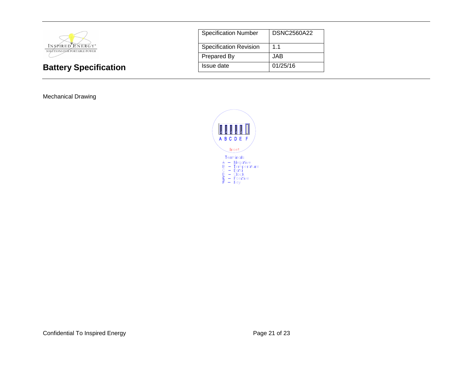

Mechanical Drawing

| <b>Specification Number</b>   | <b>DSNC2560A22</b> |
|-------------------------------|--------------------|
| <b>Specification Revision</b> | 1.1                |
| Prepared By                   | JAB                |
| Issue date                    | 01/25/16           |

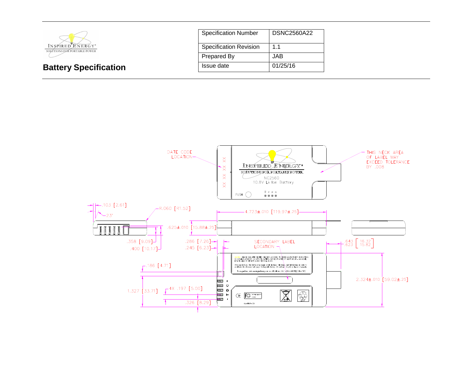

| <b>Specification Number</b>   | DSNC2560A22 |
|-------------------------------|-------------|
| <b>Specification Revision</b> | 1.1         |
| <b>Prepared By</b>            | JAB.        |
| Issue date                    | 01/25/16    |